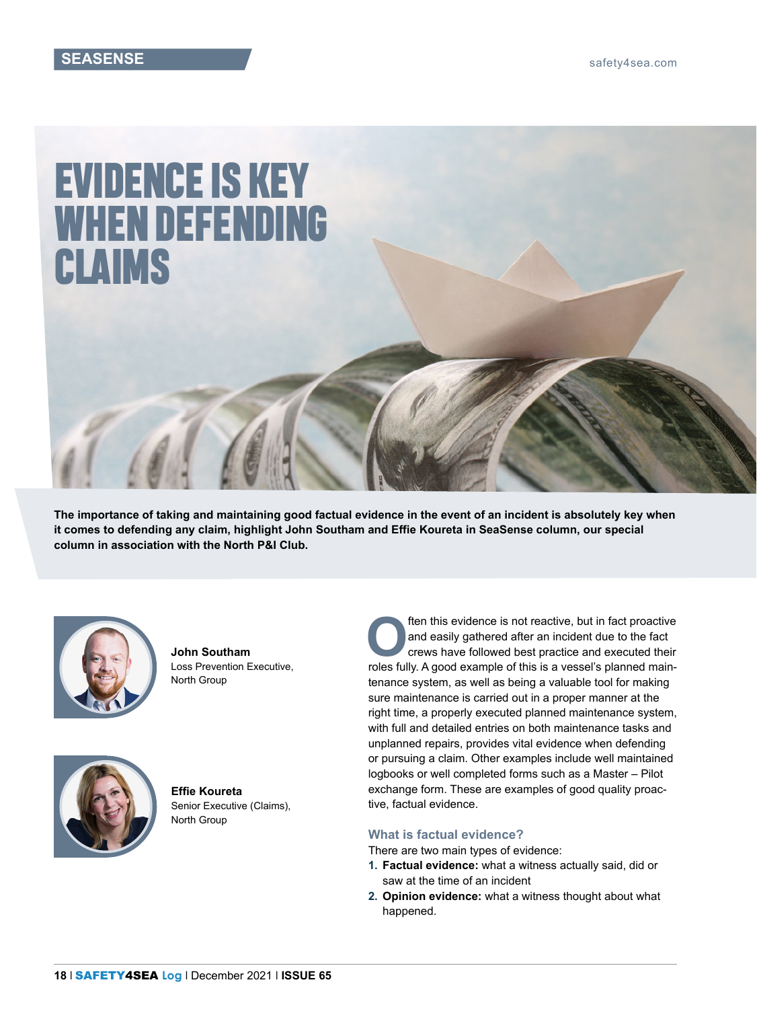# EVIDENCE IS KEY WHEN DEFENDING CLAIMS

**The importance of taking and maintaining good factual evidence in the event of an incident is absolutely key when it comes to defending any claim, highlight John Southam and Effie Koureta in SeaSense column, our special column in association with the North P&I Club.**



**John Southam** Loss Prevention Executive, North Group



**Effie Koureta** Senior Executive (Claims), North Group

**OFFERRY ACCESS**<br> **O**ften this evidence is not reactive, but in fact proactive<br>
and easily gathered after an incident due to the fact<br>
crews have followed best practice and executed their<br>
releasibly A seed exemple of this and easily gathered after an incident due to the fact crews have followed best practice and executed their roles fully. A good example of this is a vessel's planned maintenance system, as well as being a valuable tool for making sure maintenance is carried out in a proper manner at the right time, a properly executed planned maintenance system, with full and detailed entries on both maintenance tasks and unplanned repairs, provides vital evidence when defending or pursuing a claim. Other examples include well maintained logbooks or well completed forms such as a Master – Pilot exchange form. These are examples of good quality proactive, factual evidence.

## **What is factual evidence?**

There are two main types of evidence:

- **1. Factual evidence:** what a witness actually said, did or saw at the time of an incident
- **2. Opinion evidence:** what a witness thought about what happened.